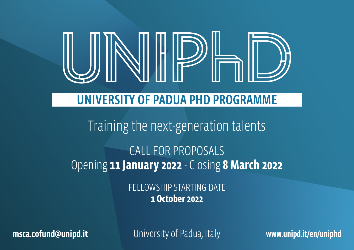

# UNIVERSITY OF PADUA PHD PROGRAMME

# Training the next-generation talents CALL FOR PROPOSALS

Opening **11 January 2022** - Closing **8 March 2022**

FELLOWSHIP STARTING DATE **1 October 2022**

**msca.cofund@unipd.it** University of Padua, Italy **www.unipd.it/en/uniphd**